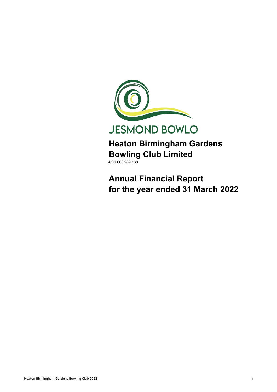

**JESMOND BOWLO** 

**Heaton Birmingham Gardens Bowling Club Limited** ACN 000 989 168

**Annual Financial Report for the year ended 31 March 2022**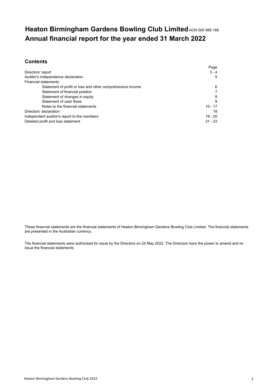## **Heaton Birmingham Gardens Bowling Club Limited ACN 000 989 168 Annual financial report for the year ended 31 March 2022**

### **Contents**

|                                                            | Page      |
|------------------------------------------------------------|-----------|
| Directors' report                                          | $3 - 4$   |
| Auditor's independence declaration                         | 5         |
| <b>Financial statements</b>                                |           |
| Statement of profit or loss and other comprehensive income | 6         |
| Statement of financial position                            |           |
| Statement of changes in equity                             | 8         |
| Statement of cash flows                                    | 9         |
| Notes to the financial statements                          | $10 - 17$ |
| Directors' declaration                                     | 18        |
| Independent auditor's report to the members                | $19 - 20$ |
| Detailed profit and loss statement                         | $21 - 23$ |

These financial statements are the financial statements of Heaton Birmingham Gardens Bowling Club Limited. The financial statements are presented in the Australian currency.

The financial statements were authorised for issue by the Directors on 24 May 2022. The Directors have the power to amend and reissue the financial statements.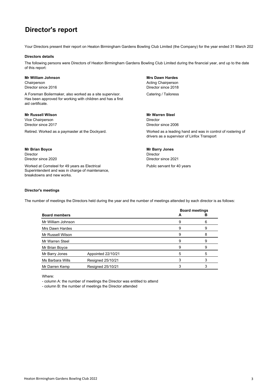## **Director's report**

Your Directors present their report on Heaton Birmingham Gardens Bowling Club Limited (the Company) for the year ended 31 March 202

#### **Directors details**

The following persons were Directors of Heaton Birmingham Gardens Bowling Club Limited during the financial year, and up to the date of this report:

#### **Mr William Johnson Mrs Dawn Hardes**

A Foreman Boilermaker, also worked as a site supervisor. Has been approved for working with children and has a first aid certificate.

#### **Mr Russell Wilson Mr Warren Steel**

Vice Chairperson **Director** Director **Director Director Director Director Director** 

Retired. Worked as a paymaster at the Dockyard.

#### **Mr Brian Boyce Mr Barry Jones**

Director Director Director since 2020 Director since 2021

Worked at Comsteel for 49 years as Electrical Public servant for 40 years Superintendent and was in charge of maintenance, breakdowns and new works.

**Chairperson** Chairperson **Chairperson Acting Chairperson** Director since 2016 Director since 2018 Catering / Tailoress

Director since 2006

Worked as a leading hand and was in control of rostering of drivers as a supervisor of Linfox Transport

#### **Director's meetings**

The number of meetings the Directors held during the year and the number of meetings attended by each director is as follows:

| <b>Board members</b> |                    | <b>Board meetings</b> | в |
|----------------------|--------------------|-----------------------|---|
| Mr William Johnson   |                    | 9                     |   |
| Mrs Dawn Hardes      |                    | 9                     | 9 |
| Mr Russell Wilson    |                    | 9                     |   |
| Mr Warren Steel      |                    | 9                     |   |
| Mr Brian Boyce       |                    | 9                     | 9 |
| Mr Barry Jones       | Appointed 22/10/21 | 5                     | 5 |
| Ms Barbara Wills     | Resigned 25/10/21  |                       |   |
| Mr Darren Kemp       | Resigned 25/10/21  |                       |   |

Where:

- column A: the number of meetings the Director was entitled to attend

- column B: the number of meetings the Director attended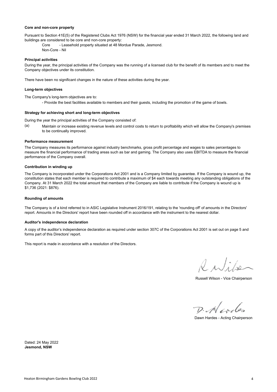#### **Core and non-core property**

Pursuant to Section 41E(5) of the Registered Clubs Act 1976 (NSW) for the financial year ended 31 March 2022, the following land and buildings are considered to be core and non-core property:

Core - Leasehold property situated at 48 Mordue Parade, Jesmond. Non-Core - Nil

#### **Principal activities**

During the year, the principal activities of the Company was the running of a licensed club for the benefit of its members and to meet the Company objectives under its constitution.

There have been no significant changes in the nature of these activities during the year.

#### **Long-term objectives**

The Company's long-term objectives are to:

- Provide the best facilities available to members and their guests, including the promotion of the game of bowls.

#### **Strategy for achieving short and long-term objectives**

During the year the principal activities of the Company consisted of:

(a) Maintain or increase existing revenue levels and control costs to return to profitability which will allow the Company's premises to be continually improved.

#### **Performance measurement**

The Company measures its performance against industry benchmarks, gross profit percentage and wages to sales percentages to measure the financial performance of trading areas such as bar and gaming. The Company also uses EBITDA to measure the financial performance of the Company overall.

#### **Contribution in winding up**

The Company is incorporated under the Corporations Act 2001 and is a Company limited by guarantee. If the Company is wound up, the constitution states that each member is required to contribute a maximum of \$4 each towards meeting any outstanding obligations of the Company. At 31 March 2022 the total amount that members of the Company are liable to contribute if the Company is wound up is \$1,736 (2021: \$876).

#### **Rounding of amounts**

The Company is of a kind referred to in ASIC Legislative Instrument 2016/191, relating to the 'rounding off' of amounts in the Directors' report. Amounts in the Directors' report have been rounded off in accordance with the instrument to the nearest dollar.

#### **Auditor's independence declaration**

A copy of the auditor's independence declaration as required under section 307C of the Corporations Act 2001 is set out on page 5 and forms part of this Directors' report.

This report is made in accordance with a resolution of the Directors.

Ruti

Russell Wilson - Vice Chairperson

 $D.$  Neoder

Dawn Hardes - Acting Chairperson

**Jesmond, NSW** Dated: 24 May 2022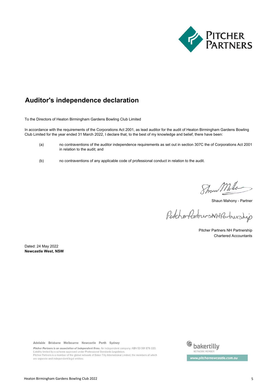

## **Auditor's independence declaration**

To the Directors of Heaton Birmingham Gardens Bowling Club Limited

In accordance with the requirements of the Corporations Act 2001, as lead auditor for the audit of Heaton Birmingham Gardens Bowling Club Limited for the year ended 31 March 2022, I declare that, to the best of my knowledge and belief, there have been:

- (a) no contraventions of the auditor independence requirements as set out in section 307C the of Corporations Act 2001 in relation to the audit; and
- (b) no contraventions of any applicable code of professional conduct in relation to the audit.

Show Mhlo

Shaun Mahony - Partner

PitcherfertnersNHPartnership

Pitcher Partners NH Partnership Chartered Accountants

**Newcastle West, NSW** Dated: 24 May 2022

Adelaide Brisbane Melbourne Newcastle Perth Sydney

Pitcher Partners is an association of independent firms. An independent company. ABN 53 001 876 320. Liability limited by a scheme approved under Professional Standards Legislation. Pitcher Partners is a member of the global network of Baker Tilly International Limited, the members of which are separate and independent legal entities.

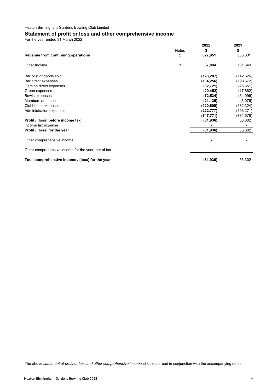## **Statement of profit or loss and other comprehensive income**

For the year ended 31 March 2022

|                                                     |              | 2022       | 2021       |
|-----------------------------------------------------|--------------|------------|------------|
|                                                     | <b>Notes</b> | \$         | \$         |
| Revenue from continuing operations                  | 2            | 627,951    | 666,331    |
| Other Income                                        | 3            | 37,884     | 181,549    |
| Bar cost of goods sold                              |              | (123, 287) | (142, 626) |
| Bar direct expenses                                 |              | (134, 256) | (198, 672) |
| Gaming direct expenses                              |              | (32, 721)  | (26, 651)  |
| Green expenses                                      |              | (20, 452)  | (17, 862)  |
| Bowls expenses                                      |              | (72, 534)  | (64,096)   |
| Members amenities                                   |              | (21, 135)  | (6,076)    |
| Clubhouse expenses                                  |              | (120, 609) | (132, 324) |
| Administration expenses                             |              | (222, 777) | (193, 271) |
|                                                     |              | (747, 771) | (781,578)  |
| Profit / (loss) before income tax                   |              | (81, 936)  | 66,302     |
| Income tax expense                                  |              |            |            |
| Profit / (loss) for the year                        |              | (81, 936)  | 66,302     |
| Other comprehensive income                          |              |            |            |
| Other comprehensive income for the year, net of tax |              |            |            |
| Total comprehensive income / (loss) for the year    |              | (81, 936)  | 66,302     |

The above *statement of profit or loss and other comprehensive income* should be read in conjunction with the accompanying notes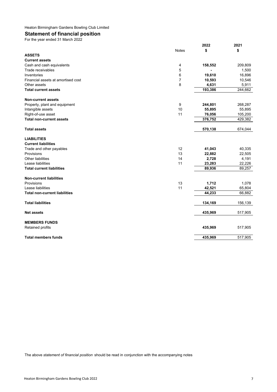## **Statement of financial position**

For the year ended 31 March 2022

|                                      |                | 2022    | 2021    |
|--------------------------------------|----------------|---------|---------|
|                                      | <b>Notes</b>   | \$      | \$      |
| <b>ASSETS</b>                        |                |         |         |
| <b>Current assets</b>                |                |         |         |
| Cash and cash equivalents            | 4              | 158,552 | 209,809 |
| Trade receivables                    | 5              | ä,      | 1,500   |
| Inventories                          | 6              | 19,610  | 16,896  |
| Financial assets at amortised cost   | $\overline{7}$ | 10,593  | 10,546  |
| Other assets                         | 8              | 4,631   | 5,911   |
| <b>Total current assets</b>          |                | 193,386 | 244,662 |
| <b>Non-current assets</b>            |                |         |         |
| Property, plant and equipment        | 9              | 244,801 | 268,287 |
| Intangible assets                    | 10             | 55,895  | 55,895  |
| Right-of-use asset                   | 11             | 76,056  | 105,200 |
| <b>Total non-current assets</b>      |                | 376,752 | 429,382 |
| <b>Total assets</b>                  |                | 570,138 | 674,044 |
| <b>LIABILITIES</b>                   |                |         |         |
| <b>Current liabilities</b>           |                |         |         |
| Trade and other payables             | 12             | 41,043  | 40,335  |
| Provisions                           | 13             | 22,882  | 22,505  |
| <b>Other liabilities</b>             | 14             | 2,728   | 4,191   |
| Lease liabilities                    | 11             | 23,283  | 22,226  |
| <b>Total current liabilities</b>     |                | 89,936  | 89,257  |
| <b>Non-current liabilities</b>       |                |         |         |
| Provisions                           | 13             | 1,712   | 1,078   |
| Lease liabilities                    | 11             | 42,521  | 65,804  |
| <b>Total non-current liabilities</b> |                | 44,233  | 66,882  |
| <b>Total liabilities</b>             |                | 134,169 | 156,139 |
| <b>Net assets</b>                    |                | 435,969 | 517,905 |
| <b>MEMBERS FUNDS</b>                 |                |         |         |
| Retained profits                     |                | 435,969 | 517,905 |
| <b>Total members funds</b>           |                | 435,969 | 517,905 |

The above *statement of financial position* should be read in conjunction with the accompanying notes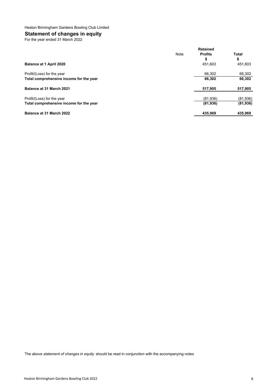## **Statement of changes in equity**

For the year ended 31 March 2022

|                                         | <b>Retained</b> |           |  |
|-----------------------------------------|-----------------|-----------|--|
| Note                                    | <b>Profits</b>  | Total     |  |
|                                         | \$              | \$        |  |
| Balance at 1 April 2020                 | 451,603         | 451,603   |  |
| Profit/(Loss) for the year              | 66.302          | 66,302    |  |
| Total comprehensive income for the year | 66,302          | 66,302    |  |
| Balance at 31 March 2021                | 517,905         | 517,905   |  |
| Profit/(Loss) for the year              | (81,936)        | (81,936)  |  |
| Total comprehensive income for the year | (81,936)        | (81, 936) |  |
| Balance at 31 March 2022                | 435,969         | 435,969   |  |

The above *statement of changes in equity* should be read in conjunction with the accompanying notes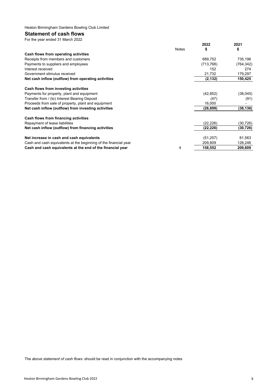#### **Statement of cash flows** For the year ended 31 March 2022

| <b>TUI LIIC YCAL CHUCU UT IVIAICH ZUZZ</b>                       |              |            |            |
|------------------------------------------------------------------|--------------|------------|------------|
|                                                                  |              | 2022       | 2021       |
|                                                                  | <b>Notes</b> | S          | \$         |
| Cash flows from operating activities                             |              |            |            |
| Receipts from members and customers                              |              | 689,752    | 735,196    |
| Payments to suppliers and employees                              |              | (713, 768) | (764, 342) |
| Interest received                                                |              | 152        | 274        |
| Government stimulus received                                     |              | 21,732     | 179,297    |
| Net cash inflow (outflow) from operating activities              |              | (2, 132)   | 150,425    |
| Cash flows from investing activities                             |              |            |            |
| Payments for property, plant and equipment                       |              | (42, 852)  | (38, 045)  |
| Transfer from / (to) Interest Bearing Deposit                    |              | (47)       | (91)       |
| Proceeds from sale of property, plant and equipment              |              | 16,000     |            |
| Net cash inflow (outflow) from investing activities              |              | (26, 899)  | (38, 136)  |
| Cash flows from financing activities                             |              |            |            |
| Repayment of lease liabilities                                   |              | (22, 226)  | (30,726)   |
| Net cash inflow (outflow) from financing activities              |              | (22, 226)  | (30, 726)  |
| Net increase in cash and cash equivalents                        |              | (51, 257)  | 81,563     |
| Cash and cash equivalents at the beginning of the financial year |              | 209.809    | 128,246    |
| Cash and cash equivalents at the end of the financial year       | 4            | 158,552    | 209,809    |
|                                                                  |              |            |            |

The above *statement of cash flows* should be read in conjunction with the accompanying notes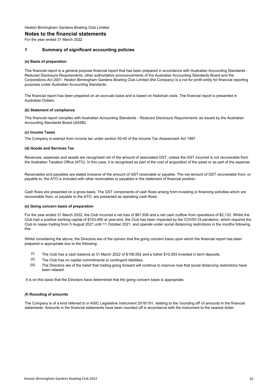#### **Notes to the financial statements**

For the year ended 31 March 2022

#### **1 Summary of significant accounting policies**

#### **(a) Basis of preparation**

This financial report is a general purpose financial report that has been prepared in accordance with Australian Accounting Standards - Reduced Disclosure Requirements, other authoritative pronouncements of the Australian Accounting Standards Board and the Corporations Act 2001. Heaton Birmingham Gardens Bowling Club Limited (the Company) is a not for profit entity for financial reporting purposes under Australian Accounting Standards.

The financial report has been prepared on an accruals basis and is based on historical costs. The financial report is presented in Australian Dollars.

#### **(b) Statement of compliance**

This financial report complies with Australian Accounting Standards - *Reduced Disclosure Requirements* as issued by the Australian Accounting Standards Board (AASB).

#### **(c) Income Taxes**

The Company is exempt from income tax under section 50-45 of the Income Tax Assessment Act 1997.

#### **(d) Goods and Services Tax**

Revenues, expenses and assets are recognised net of the amount of associated GST, unless the GST incurred is not recoverable from the Australian Taxation Office (ATO). In this case, it is recognised as part of the cost of acquisition of the asset or as part of the expense.

Receivables and payables are stated inclusive of the amount of GST receivable or payable. The net amount of GST recoverable from, or payable to, the ATO is included with other receivables or payables in the statement of financial position.

Cash flows are presented on a gross basis. The GST components of cash flows arising from investing or financing activities which are recoverable from, or payable to the ATO, are presented as operating cash flows.

#### **(e) Going concern basis of preparation**

For the year ended 31 March 2022, the Club incurred a net loss of \$81,936 and a net cash outflow from operations of \$2,132. Whilst the Club had a positive working capital of \$103,450 at year-end, the Club has been impacted by the COVID-19 pandemic, which required the Club to cease trading from 5 August 2021 until 11 October 2021, and operate under social distancing restrictions in the months following this.

Whilst considering the above, the Directors are of the opinion that the going concern basis upon which the financial report has been prepared is appropriate due to the following:

- (i) The Club has a cash balance at 31 March 2022 of \$158,552 and a futher \$10,593 invested in term deposits.
- (ii) The Club has no capital commitments or contingent liabilities.
- (iii) The Directors are of the belief that trading going forward will continue to improve now that social distancing restrictions have been relaxed.

It is on this basis that the Directors have determined that the going concern basis is appropriate.

#### **(f) Rounding of amounts**

The Company is of a kind referred to in ASIC Legislative Instrument 2016/191, relating to the 'rounding off' of amounts in the financial statements. Amounts in the financial statements have been rounded off in accordance with the instrument to the nearest dollar.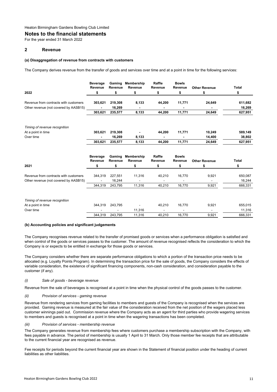#### **Notes to the financial statements**

For the year ended 31 March 2022

#### **2 Revenue**

#### **(a) Disaggregation of revenue from contracts with customers**

The Company derives revenue from the transfer of goods and services over time and at a point in time for the following services:

|                                       | <b>Beverage</b><br>Revenue | Gaming<br>Revenue | Membership<br>Revenue | Raffle<br>Revenue | <b>Bowls</b><br>Revenue | <b>Other Revenue</b> | Total   |
|---------------------------------------|----------------------------|-------------------|-----------------------|-------------------|-------------------------|----------------------|---------|
| 2022                                  | \$                         | \$                | \$                    | \$                | \$                      | \$                   | \$      |
| Revenue from contracts with customers | 303,621                    | 219,308           | 8,133                 | 44,200            | 11,771                  | 24,649               | 611,682 |
| Other revenue (not covered by AASB15) |                            | 16,269            |                       |                   |                         |                      | 16,269  |
|                                       | 303,621                    | 235,577           | 8,133                 | 44,200            | 11,771                  | 24,649               | 627,951 |
| Timing of revenue recognition         |                            |                   |                       |                   |                         |                      |         |
| At a point in time                    | 303,621                    | 219,308           |                       | 44,200            | 11,771                  | 10,249               | 589,149 |
| Over time                             |                            | 16,269            | 8,133                 |                   |                         | 14,400               | 38,802  |
|                                       | 303,621                    | 235,577           | 8,133                 | 44,200            | 11,771                  | 24,649               | 627,951 |
|                                       | <b>Beverage</b><br>Revenue | Gaming<br>Revenue | Membership<br>Revenue | Raffle<br>Revenue | <b>Bowls</b><br>Revenue | <b>Other Revenue</b> | Total   |
| 2021                                  | \$                         | \$                | \$                    | \$                | \$                      | \$                   | \$      |
| Revenue from contracts with customers | 344,319                    | 227,551           | 11,316                | 40,210            | 16,770                  | 9,921                | 650,087 |
| Other revenue (not covered by AASB15) |                            | 16,244            |                       |                   |                         |                      | 16,244  |
|                                       | 344,319                    | 243,795           | 11,316                | 40,210            | 16,770                  | 9,921                | 666,331 |
| Timing of revenue recognition         |                            |                   |                       |                   |                         |                      |         |
| At a point in time                    | 344,319                    | 243,795           |                       | 40,210            | 16,770                  | 9,921                | 655,015 |
| Over time                             |                            |                   | 11,316                |                   |                         | ÷.                   | 11,316  |
|                                       | 344,319                    | 243,795           | 11,316                | 40,210            | 16,770                  | 9,921                | 666,331 |
|                                       |                            |                   |                       |                   |                         |                      |         |

#### **(b) Accounting policies and significant judgements**

The Company recognises revenue related to the transfer of promised goods or services when a performance obligation is satisfied and when control of the goods or services passes to the customer. The amount of revenue recognised reflects the consideration to which the Company is or expects to be entitled in exchange for those goods or services.

The Company considers whether there are separate performance obligations to which a portion of the transaction price needs to be allocated (e.g. Loyalty Points Program). In determining the transaction price for the sale of goods, the Company considers the effects of variable consideration, the existence of significant financing components, non-cash consideration, and consideration payable to the customer (if any).

#### *(i) Sale of goods - beverage revenue*

Revenue from the sale of beverages is recognised at a point in time when the physical control of the goods passes to the customer.

#### *(ii) Provision of services - gaming revenue*

Revenue from rendering services from gaming facilities to members and guests of the Company is recognised when the services are provided. Gaming revenue is measured at the fair value of the consideration received from the net position of the wagers placed less customer winnings paid out. Commission revenue where the Company acts as an agent for third parties who provide wagering services to members and guests is recognised at a point in time when the wagering transactions has been completed.

#### *(iii) Provision of services - membership revenue*

The Company generates revenue from membership fees where customers purchase a membership subscription with the Company, with fees payable in advance. The period of membership is usually 1 April to 31 March. Only those member fee receipts that are attributable to the current financial year are recognised as revenue.

Fee receipts for periods beyond the current financial year are shown in the Statement of financial position under the heading of current liabilities as other liabilities.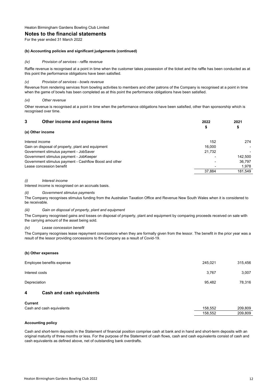#### **Notes to the financial statements**

For the year ended 31 March 2022

#### **(b) Accounting policies and significant judgements (continued)**

#### *(iv) Provision of services - raffle revenue*

Raffle revenue is recognised at a point in time when the customer takes possession of the ticket and the raffle has been conducted as at this point the performance obligations have been satisfied.

#### *(v) Provision of services - bowls revenue*

Revenue from rendering services from bowling activities to members and other patrons of the Company is recognised at a point in time when the game of bowls has been completed as at this point the performance obligations have been satisfied.

#### *(vi) Other revenue*

Other revenue is recognised at a point in time when the performance obligations have been satisfied, other than sponsorship which is recognised over time.

| 3<br>Other income and expense items                    | 2022   | 2021    |
|--------------------------------------------------------|--------|---------|
| (a) Other income                                       | \$     | \$      |
|                                                        |        |         |
| Interest income                                        | 152    | 274     |
| Gain on disposal of property, plant and equipment      | 16.000 |         |
| Government stimulus payment - JobSaver                 | 21,732 |         |
| Government stimulus payment - JobKeeper                |        | 142,500 |
| Government stimulus payment - Cashflow Boost and other |        | 36.797  |
| Lease concession benefit                               |        | 1.978   |
|                                                        | 37.884 | 181.549 |

#### *(i) Interest income*

Interest income is recognised on an accruals basis.

#### *(ii) Government stimulus payments*

The Company recognises stimulus funding from the Australian Taxation Office and Revenue New South Wales when it is considered to be receivable.

#### *(iii) Gain on disposal of property, plant and equipment*

The Company recognised gains and losses on disposal of property, plant and equipment by comparing proceeds received on sale with the carrying amount of the asset being sold.

#### *(iv) Lease concession benefit*

The Company recognises lease repayment concessions when they are formally given from the lessor. The benefit in the prior year was a result of the lessor providing concessions to the Company as a result of Covid-19.

#### **(b) Other expenses**

|                | Employee benefits expense | 245,021 | 315,456 |
|----------------|---------------------------|---------|---------|
|                | Interest costs            | 3,767   | 3,007   |
|                | Depreciation              | 95,482  | 78,316  |
| 4              | Cash and cash equivalents |         |         |
| <b>Current</b> |                           |         |         |
|                | Cash and cash equivalents | 158,552 | 209,809 |
|                |                           | 158,552 | 209,809 |

#### **Accounting policy**

Cash and short-term deposits in the Statement of financial position comprise cash at bank and in hand and short-term deposits with an original maturity of three months or less. For the purpose of the Statement of cash flows, cash and cash equivalents consist of cash and cash equivalents as defined above, net of outstanding bank overdrafts.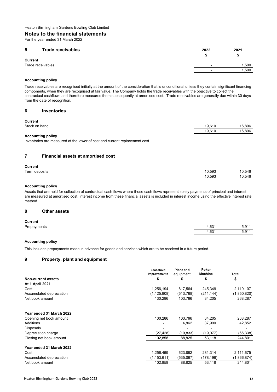#### **Notes to the financial statements**

For the year ended 31 March 2022

#### **5 Trade receivables 2022 2021**

| .                 | ____ | ----  |
|-------------------|------|-------|
|                   |      | æ.    |
| <b>Current</b>    |      |       |
| Trade receivables |      | 1,500 |
|                   |      | 1,500 |
|                   |      |       |

#### **Accounting policy**

Trade receivables are recognised initially at the amount of the consideration that is unconditional unless they contain significant financing components, when they are recognised at fair value. The Company holds the trade receivables with the objective to collect the contractual cashflows and therefore measures them subsequently at amortised cost. Trade receivables are generally due within 30 days from the date of recognition.

#### **6 Inventories**

| <b>Current</b>           |        |        |
|--------------------------|--------|--------|
| Stock on hand            | 19.610 | 16.896 |
|                          | 19.610 | 16.896 |
| <b>Accounting policy</b> |        |        |

Inventories are measured at the lower of cost and current replacement cost.

#### **7 Financial assets at amortised cost**

#### **Current**

| --------      |        |        |
|---------------|--------|--------|
| Term deposits | 10.593 | 10.546 |
|               | 10.593 | 10.546 |
|               |        |        |

#### **Accounting policy**

Assets that are held for collection of contractual cash flows where those cash flows represent solely payments of principal and interest are measured at amortised cost. Interest income from these financial assets is included in interest income using the effective interest rate method.

#### **8 Other assets**

#### **Current**

| _____       | 0.21        | $\sim$ 0.4 $\sim$ |
|-------------|-------------|-------------------|
| Prepayments | .O.J        | ີ                 |
|             | 0.21<br>.OJ | ∗∩.<br>ບ.ວ        |

#### **Accounting policy**

This includes prepayments made in advance for goods and services which are to be received in a future period.

#### **9 Property, plant and equipment**

|                          | Leasehold<br>Improvements | <b>Plant and</b><br>equipment | Poker<br><b>Machine</b> | Total       |
|--------------------------|---------------------------|-------------------------------|-------------------------|-------------|
| Non-current assets       | \$                        | \$                            | \$                      | \$          |
| <b>At 1 April 2021</b>   |                           |                               |                         |             |
| Cost                     | 1,256,194                 | 617,564                       | 245,349                 | 2,119,107   |
| Accumulated depreciation | (1, 125, 908)             | (513, 768)                    | (211, 144)              | (1,850,820) |
| Net book amount          | 130,286                   | 103,796                       | 34,205                  | 268,287     |
| Year ended 31 March 2022 |                           |                               |                         |             |
| Opening net book amount  | 130,286                   | 103,796                       | 34,205                  | 268,287     |
| Additions                |                           | 4.862                         | 37,990                  | 42,852      |
| Disposals                |                           |                               |                         |             |
| Depreciation charge      | (27, 428)                 | (19,833)                      | (19,077)                | (66, 338)   |
| Closing net book amount  | 102,858                   | 88,825                        | 53,118                  | 244,801     |
| Year ended 31 March 2022 |                           |                               |                         |             |
| Cost                     | 1,256,469                 | 623,892                       | 231,314                 | 2,111,675   |
| Accumulated depreciation | (1, 153, 611)             | (535,067)                     | (178, 196)              | (1,866,874) |
| Net book amount          | 102,858                   | 88,825                        | 53,118                  | 244,801     |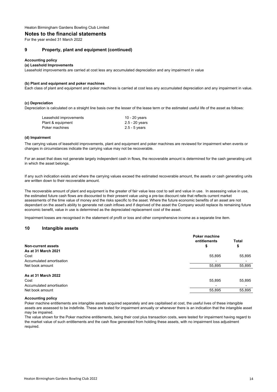#### **Notes to the financial statements**

For the year ended 31 March 2022

#### **9 Property, plant and equipment (continued)**

#### **Accounting policy**

#### **(a) Leashold Improvements**

Leasehold improvements are carried at cost less any accumulated depreciation and any impairment in value

#### **(b) Plant and equipment and poker machines**

Each class of plant and equipment and poker machines is carried at cost less any accumulated depreciation and any impairment in value.

#### **(c) Depreciation**

Depreciation is calculated on a straight line basis over the lesser of the lease term or the estimated useful life of the asset as follows:

| Leasehold improvements | 10 - 20 years   |
|------------------------|-----------------|
| Plant & equipment      | 2.5 - 20 years  |
| Poker machines         | $2.5 - 5$ years |

#### **(d) Impairment**

The carrying values of leasehold improvements, plant and equipment and poker machines are reviewed for impairment when events or changes in circumstances indicate the carrying value may not be recoverable.

For an asset that does not generate largely independent cash in flows, the recoverable amount is determined for the cash generating unit in which the asset belongs.

If any such indication exists and where the carrying values exceed the estimated recoverable amount, the assets or cash generating units are written down to their recoverable amount.

The recoverable amount of plant and equipment is the greater of fair value less cost to sell and value in use. In assessing value in use, the estimated future cash flows are discounted to their present value using a pre-tax discount rate that reflects current market assessments of the time value of money and the risks specific to the asset. Where the future economic benefits of an asset are not dependant on the asset's ability to generate net cash inflows and if deprived of the asset the Company would replace its remaining future economic benefit, value in use is determined as the depreciated replacement cost of the asset.

Impairment losses are recognised in the statement of profit or loss and other comprehensive income as a separate line item.

#### **10 Intangible assets**

|                          | <b>Poker machine</b><br>entitlements | <b>Total</b>             |
|--------------------------|--------------------------------------|--------------------------|
| Non-current assets       | \$                                   | \$                       |
| As at 31 March 2021      |                                      |                          |
| Cost                     | 55,895                               | 55,895                   |
| Accumulated amortisation |                                      | $\overline{\phantom{a}}$ |
| Net book amount          | 55,895                               | 55,895                   |
| As at 31 March 2022      |                                      |                          |
| Cost                     | 55,895                               | 55,895                   |
| Accumulated amortisation |                                      | $\overline{\phantom{a}}$ |
| Net book amount          | 55,895                               | 55,895                   |

#### **Accounting policy**

Poker machine entitlements are intangible assets acquired separately and are capitalised at cost, the useful lives of these intangible assets are assessed to be indefinite. These are tested for impairment annually or whenever there is an indication that the intangible asset may be impaired.

The value shown for the Poker machine entitlements, being their cost plus transaction costs, were tested for impairment having regard to the market value of such entitlements and the cash flow generated from holding these assets, with no impairment loss adjustment required.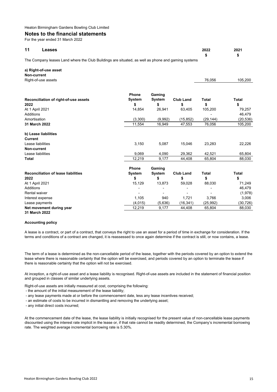#### **Notes to the financial statements**

For the year ended 31 March 2022

| 11 | Leases                                                                                             | 2022 | 2021 |
|----|----------------------------------------------------------------------------------------------------|------|------|
|    |                                                                                                    |      |      |
|    | The Company leases Land where the Club Buildings are situated, as well as phone and gaming systems |      |      |

| a) Right-of-use asset |        |         |
|-----------------------|--------|---------|
| Non-current           |        |         |
| Right-of-use assets   | 76.056 | 105.200 |
|                       |        |         |

|                                            | <b>Phone</b> | Gaming  |                  |              |              |
|--------------------------------------------|--------------|---------|------------------|--------------|--------------|
| Reconciliation of right-of-use assets      | System       | System  | <b>Club Land</b> | Total        | <b>Total</b> |
| 2022                                       | \$           | \$      | \$               | \$           | \$           |
| At 1 April 2021                            | 14,854       | 26,941  | 63,405           | 105,200      | 79,257       |
| <b>Additions</b>                           |              |         |                  |              | 46,479       |
| Amortisation                               | (3,300)      | (9,992) | (15, 852)        | (29, 144)    | (20, 536)    |
| 31 March 2022                              | 11,554       | 16,949  | 47,553           | 76,056       | 105,200      |
| b) Lease liabilities                       |              |         |                  |              |              |
| Current                                    |              |         |                  |              |              |
| Lease liabilities                          | 3,150        | 5,087   | 15,046           | 23,283       | 22,226       |
| Non-current                                |              |         |                  |              |              |
| Lease liabilities                          | 9,069        | 4,090   | 29,362           | 42,521       | 65,804       |
| Total                                      | 12,219       | 9,177   | 44,408           | 65,804       | 88,030       |
|                                            | <b>Phone</b> | Gaming  |                  |              |              |
| <b>Reconciliation of lease liabilities</b> | System       | System  | <b>Club Land</b> | <b>Total</b> | <b>Total</b> |
| 2022                                       | \$           | \$      | \$               | \$           | \$           |
| At 1 April 2021                            | 15,129       | 13,873  | 59,028           | 88,030       | 71,249       |
| Additions                                  |              |         |                  |              | 46,479       |
| Rental waiver                              |              |         |                  |              | (1,978)      |
| Interest expense                           | 1,105        | 940     | 1,721            | 3,766        | 3,006        |
| Lease payments                             | (4,015)      | (5,636) | (16, 341)        | (25, 992)    | (30, 726)    |
| Net movement during year                   | 12,219       | 9,177   | 44,408           | 65,804       | 88,030       |
| 31 March 2022                              |              |         |                  |              |              |

#### **Accounting policy**

A lease is a contract, or part of a contract, that conveys the right to use an asset for a period of time in exchange for consideration. If the terms and conditions of a contract are changed, it is reassessed to once again determine if the contract is still, or now contains, a lease.

The term of a lease is determined as the non-cancellable period of the lease, together with the periods covered by an option to extend the lease where there is reasonable certainty that the option will be exercised, and periods covered by an option to terminate the lease if there is reasonable certainty that the option will not be exercised.

At inception, a right-of-use asset and a lease liability is recognised. Right-of-use assets are included in the statement of financial position and grouped in classes of similar underlying assets.

Right-of-use assets are initially measured at cost, comprising the following:

- the amount of the initial measurement of the lease liability;
- any lease payments made at or before the commencement date, less any lease incentives received;
- an estimate of costs to be incurred in dismantling and removing the underlying asset;
- any initial direct costs incurred;

At the commencement date of the lease, the lease liability is initially recognised for the present value of non-cancellable lease payments discounted using the interest rate implicit in the lease or, if that rate cannot be readily determined, the Company's incremental borrowing rate. The weighted average incremental borrowing rate is 5.30%.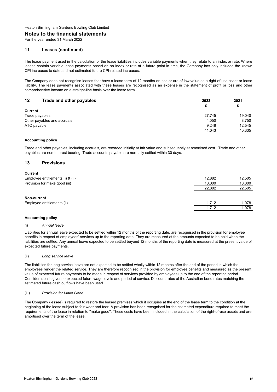#### **Notes to the financial statements**

For the year ended 31 March 2022

#### **11 Leases (continued)**

The lease payment used in the calculation of the lease liabilities includes variable payments when they relate to an index or rate. Where leases contain variable lease payments based on an index or rate at a future point in time, the Company has only included the known CPI increases to date and not estimated future CPI-related increases.

The Company does not recognise leases that have a lease term of 12 months or less or are of low value as a right of use asset or lease liability. The lease payments associated with these leases are recognised as an expense in the statement of profit or loss and other comprehensive income on a straight-line basis over the lease term.

| 12<br>Trade and other payables | 2022   | 2021   |
|--------------------------------|--------|--------|
|                                |        | \$     |
| <b>Current</b>                 |        |        |
| Trade payables                 | 27.745 | 19.040 |
| Other payables and accruals    | 4,050  | 8.750  |
| ATO payable                    | 9.248  | 12.545 |
|                                | 41,043 | 40,335 |
|                                |        |        |

#### **Accounting policy**

Trade and other payables, including accruals, are recorded initially at fair value and subsequently at amortised cost. Trade and other payables are non-interest bearing. Trade accounts payable are normally settled within 30 days.

#### **13 Provisions**

| <b>Current</b>                   |        |        |
|----------------------------------|--------|--------|
| Employee entitlements (i) & (ii) | 12,882 | 12,505 |
| Provision for make good (iii)    | 10.000 | 10,000 |
|                                  | 22.882 | 22,505 |
|                                  |        |        |
| Non-current                      |        |        |
| Employee entitlements (ii)       | 1.712  | 1,078  |
|                                  | 1.712  | 1,078  |

#### **Accounting policy**

#### (i) *Annual leave*

Liabilities for annual leave expected to be settled within 12 months of the reporting date, are recognised in the provision for employee benefits in respect of employees' services up to the reporting date. They are measured at the amounts expected to be paid when the liabilities are settled. Any annual leave expected to be settled beyond 12 months of the reporting date is measured at the present value of expected future payments.

#### (ii) *Long service leave*

The liabilities for long service leave are not expected to be settled wholly within 12 months after the end of the period in which the employees render the related service. They are therefore recognised in the provision for employee benefits and measured as the present value of expected future payments to be made in respect of services provided by employees up to the end of the reporting period. Consideration is given to expected future wage levels and period of service. Discount rates of the Australian bond rates matching the estimated future cash outflows have been used.

#### (iiI) *Provision for Make Good*

The Company (lessee) is required to restore the leased premises which it occupies at the end of the lease term to the condition at the beginning of the lease subject to fair wear and tear. A provision has been recognised for the estimated expenditure required to meet the requirements of the lease in relation to ''make good''. These costs have been included in the calculation of the right-of-use assets and are amortised over the term of the lease.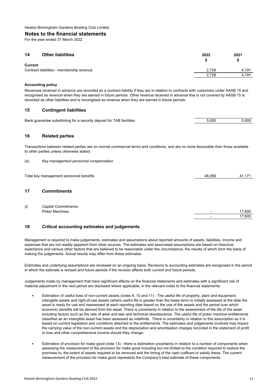#### **Notes to the financial statements**

For the year ended 31 March 2022

| 14             | <b>Other liabilities</b>                  | 2022  | 2021  |
|----------------|-------------------------------------------|-------|-------|
| <b>Current</b> | Contract liabilities - membership revenue | 2.728 | 4.191 |
|                |                                           | 2.728 | 4.191 |

#### **Accounting policy**

Revenues received in advance are recorded as a contract liability if they are in relation to contracts with customers under AASB 15 and recognised as revenue when they are earned in future periods. Other revenue received in advance that is not covered by AASB 15 is recorded as other liabilities and is reconigised as revenue when they are earned in future periods.

#### **15 Contingent liabilities**

| Bank guarantee substituting for a security deposit for TAB facilities | 5.000 | 5.000 |
|-----------------------------------------------------------------------|-------|-------|
|                                                                       |       |       |

#### **16 Related parties**

Transactions between related parties are on normal commercial terms and conditions, and are no more favourable than those available to other parties unless otherwise stated.

(a) *Key management personnel compensation*

Total key management personnel benefits and the state of the state and the state of the 41,171 46,069 41,171

#### **17 Commitments**

| (i) | <b>Capital Commitments</b> |                          |        |
|-----|----------------------------|--------------------------|--------|
|     | Poker Machines             | $\overline{\phantom{0}}$ | 7.600  |
|     |                            |                          | 17,600 |

#### **18 Critical accounting estimates and judgements**

Management is required to make judgements, estimates and assumptions about reported amounts of assets, liabilities, income and expenses that are not readily apparent from other sources. The estimates and associated assumptions are based on historical experience and various other factors that are believed to be reasonable under the circumstance, the results of which form the basis of making the judgements. Actual results may differ from these estimates.

Estimates and underlying assumptions are reviewed on an ongoing basis. Revisions to accounting estimates are recognised in the period in which the estimate is revised and future periods if the revision affects both current and future periods.

Judgements made by management that have significant effects on the financial statements and estimates with a significant risk of material adjustment in the next period are disclosed where applicable, in the relevant notes to the financial statements:

- Estimation of useful lives of non-current assets (notes 9, 10 and 11) - The useful life of property, plant and equipment, intangible assets and right-of-use assets (where useful life is greater than the lease term) is initially assessed at the date the asset is ready for use and reassessed at each reporting date based on the use of the assets and the period over which economic benefits will be derived from the asset. There is uncertainty in relation to the assessment of the life of the asset including factors such as the rate of wear and tear and technical obsolescence. The useful life of poker machine entitlements classified as an intangible asset has been assessed as indefinite. There is uncertainty in relation to this assumption as it is based on current legislation and conditions attached to the entitlements. The estimates and judgements involved may impact the carrying value of the non-current assets and the depreciation and amortisation charges recorded in the statement of profit or loss and other comprehensive income should they change.
- Estimation of provision for make good (note 13) - there is estimation uncertainty in relation to a number of components when assessing the measurement of the provision for make good including but not limited to the condition required to restore the premises to, the extent of assets required to be removed and the timing of the cash outflows to satisfy these. The current measurement of the provision for make good represents the Company's best estimate of these components.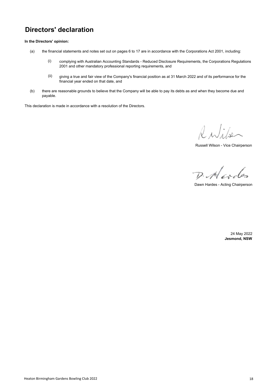## **Directors' declaration**

**In the Directors' opinion:**

- (a) the financial statements and notes set out on pages 6 to 17 are in accordance with the Corporations Act 2001, including:
	- (i) complying with Australian Accounting Standards - Reduced Disclosure Requirements, the Corporations Regulations 2001 and other mandatory professional reporting requirements, and
	- (ii) giving a true and fair view of the Company's financial position as at 31 March 2022 and of its performance for the financial year ended on that date, and
- (b) there are reasonable grounds to believe that the Company will be able to pay its debts as and when they become due and payable.

This declaration is made in accordance with a resolution of the Directors.

Rubber

Russell Wilson - Vice Chairperson

D. Nordes

Dawn Hardes - Acting Chairperson

24 May 2022 **Jesmond, NSW**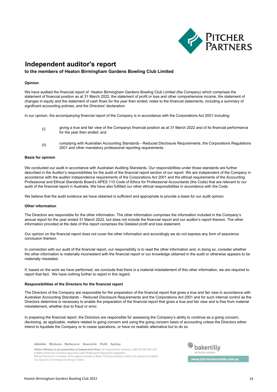

## **Independent auditor's report**

#### **to the members of Heaton Birmingham Gardens Bowling Club Limited**

#### **Opinion**

We have audited the financial report of Heaton Birmingham Gardens Bowling Club Limited (the Company) which comprises the statement of financial position as at 31 March 2022, the statement of profit or loss and other comprehensive income, the statement of changes in equity and the statement of cash flows for the year then ended, notes to the financial statements, including a summary of significant accounting policies, and the Directors' declaration.

In our opinion, the accompanying financial report of the Company is in accordance with the Corporations Act 2001 including:

- (i) giving a true and fair view of the Companys financial position as at 31 March 2022 and of its financial performance for the year then ended; and
- (ii) complying with Australian Accounting Standards - Reduced Disclosure Requirements, the Corporations Regulations 2001 and other mandatory professional reporting requirements.

#### **Basis for opinion**

We conducted our audit in accordance with Australian Auditing Standards. Our responsibilities under those standards are further described in the Auditor's responsibilities for the audit of the financial report section of our report. We are independent of the Company in accordance with the auditor independence requirements of the Corporations Act 2001 and the ethical requirements of the Accounting Professional and Ethical Standards Board's APES 110 Code of Ethics for Professional Accountants (the Code) that are relevant to our audit of the financial report in Australia. We have also fulfilled our other ethical responsibilities in accordance with the Code.

We believe that the audit evidence we have obtained is sufficient and appropriate to provide a basis for our audit opinion.

#### **Other information**

The Directors are responsible for the other information. The other information comprises the information included in the Company's annual report for the year ended 31 March 2022, but does not include the financial report and our auditor's report thereon. The other information provided at the date of this report comprises the Detailed profit and loss statement.

Our opinion on the financial report does not cover the other information and accordingly we do not express any form of assurance conclusion thereon.

In connection with our audit of the financial report, our responsibility is to read the other information and, in doing so, consider whether the other information is materially inconsistent with the financial report or our knowledge obtained in the audit or otherwise appears to be materially misstated.

If, based on the work we have performed, we conclude that there is a material misstatement of this other information, we are required to report that fact. We have nothing further to report in this regard.

#### **Responsibilities of the Directors for the financial report**

The Directors of the Company are responsible for the preparation of the financial report that gives a true and fair view in accordance with Australian Accounting Standards – Reduced Disclosure Requirements and the Corporations Act 2001 and for such internal control as the Directors determine is necessary to enable the preparation of the financial report that gives a true and fair view and is free from material misstatement, whether due to fraud or error.

In preparing the financial report, the Directors are responsible for assessing the Company's ability to continue as a going concern, disclosing, as applicable, matters related to going concern and using the going concern basis of accounting unless the Directors either intend to liquidate the Company or to cease operations, or have no realistic alternative but to do so.

Adelaide Brisbane Melbourne Newcastle Perth Sydney

Pitcher Partners is an association of independent firms. An independent company. ABN 53 001 876 320. Liability limited by a scheme approved under Professional Standards Legislation Pitcher Partners is a member of the global network of Baker Tilly International Limited, the members of which are separate and independent legal entities.



www.pitchernewcastle.com.au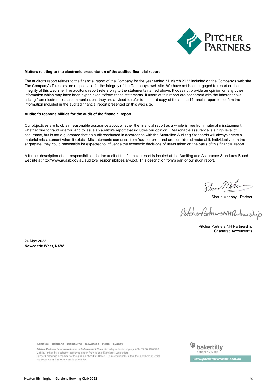

#### **Matters relating to the electronic presentation of the audited financial report**

The auditor's report relates to the financial report of the Company for the year ended 31 March 2022 included on the Company's web site. The Company's Directors are responsible for the integrity of the Company's web site. We have not been engaged to report on the integrity of this web site. The auditor's report refers only to the statements named above. It does not provide an opinion on any other information which may have been hyperlinked to/from these statements. If users of this report are concerned with the inherent risks arising from electronic data communications they are advised to refer to the hard copy of the audited financial report to confirm the information included in the audited financial report presented on this web site.

#### **Auditor's responsibilities for the audit of the financial report**

Our objectives are to obtain reasonable assurance about whether the financial report as a whole is free from material misstatement, whether due to fraud or error, and to issue an auditor's report that includes our opinion. Reasonable assurance is a high level of assurance, but is not a guarantee that an audit conducted in accordance with the Australian Auditing Standards will always detect a material misstatement when it exists. Misstatements can arise from fraud or error and are considered material if, individually or in the aggregate, they could reasonably be expected to influence the economic decisions of users taken on the basis of this financial report.

A further description of our responsibilities for the audit of the financial report is located at the Auditing and Assurance Standards Board website at http://www.auasb.gov.au/auditors\_responsibilities/ar4.pdf. This description forms part of our audit report.

Show Milo

Shaun Mahony - Partner

PitcherfertnersNHPartnership

Chartered Accountants Pitcher Partners NH Partnership

24 May 2022 **Newcastle West, NSW**

Adelaide Brisbane Melbourne Newcastle Perth Sydney

Pitcher Partners is an association of independent firms. An independent company. ABN 53 001 876 320. Liability limited by a scheme approved under Professional Standards Legislation.<br>Pitcher Partners is a member of the global network of Baker Tilly International Limited, the members of which are separate and independent legal entities.

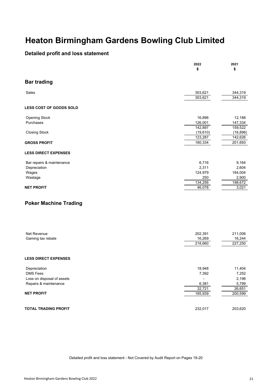### **Detailed profit and loss statement**

|                                | 2022<br>\$               | 2021<br>\$ |
|--------------------------------|--------------------------|------------|
| <b>Bar trading</b>             |                          |            |
| Sales                          | 303,621                  | 344,319    |
|                                | 303,621                  | 344,319    |
| <b>LESS COST OF GOODS SOLD</b> |                          |            |
| Opening Stock                  | 16,896                   | 12,188     |
| Purchases                      | 126,001                  | 147,334    |
|                                | 142,897                  | 159,522    |
| <b>Closing Stock</b>           | (19,610)                 | (16, 896)  |
|                                | 123,287                  | 142,626    |
| <b>GROSS PROFIT</b>            | 180,334                  | 201,693    |
| <b>LESS DIRECT EXPENSES</b>    |                          |            |
| Bar repairs & maintenance      | 6,716                    | 9,164      |
| Depreciation                   | 2,311                    | 2,604      |
| Wages                          | 124,979                  | 184,004    |
| Wastage                        | 250                      | 2,900      |
|                                | 134,256                  | 198,672    |
| <b>NET PROFIT</b>              | 46,078                   | 3,021      |
| <b>Poker Machine Trading</b>   |                          |            |
| Net Revenue                    | 202,391                  | 211,006    |
| Gaming tax rebate              | 16,269                   | 16,244     |
|                                | 218,660                  | 227,250    |
|                                |                          |            |
| <b>LESS DIRECT EXPENSES</b>    |                          |            |
| Depreciation                   | 18,948                   | 11,404     |
| DMS Fees                       | 7,392                    | 7,252      |
| Loss on disposal of assets     | $\overline{\phantom{a}}$ | 2,196      |
| Repairs & maintenance          | 6,381                    | 5,799      |
|                                | 32,721                   | 26,651     |
| <b>NET PROFIT</b>              | 185,939                  | 200,599    |
|                                |                          |            |
| <b>TOTAL TRADING PROFIT</b>    | 232,017                  | 203,620    |

Detailed profit and loss statement - Not Covered by Audit Report on Pages 19-20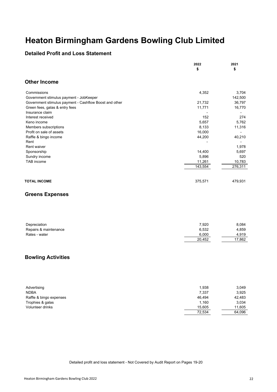### **Detailed Profit and Loss Statement**

|                                                        | 2022<br>\$                      | 2021<br>\$              |
|--------------------------------------------------------|---------------------------------|-------------------------|
| <b>Other Income</b>                                    |                                 |                         |
| Commissions<br>Government stimulus payment - JobKeeper | 4,352                           | 3,704<br>142,500        |
| Government stimulus payment - Cashflow Boost and other | 21,732                          | 36,797                  |
| Green fees, galas & entry fees                         | 11,771                          | 16,770                  |
| Insurance claim                                        | $\overline{\phantom{0}}$<br>152 | $\overline{a}$<br>274   |
| Interest received<br>Keno income                       | 5,657                           | 5,762                   |
| Members subscriptions                                  | 8,133                           | 11,316                  |
| Profit on sale of assets                               | 16,000                          |                         |
| Raffle & bingo income                                  | 44,200                          | 40,210                  |
| Rent                                                   |                                 |                         |
| Rent waiver                                            |                                 | 1,978                   |
| Sponsorship                                            | 14,400                          | 5,697                   |
| Sundry income                                          | 5,896                           | 520                     |
| TAB income                                             | 11,261                          | 10,783                  |
|                                                        | 143,554                         | 276,311                 |
| <b>TOTAL INCOME</b>                                    | 375,571                         | 479,931                 |
| <b>Greens Expenses</b>                                 |                                 |                         |
| Depreciation<br>Repairs & maintenance<br>Rates - water | 7,920<br>6,532<br>6,000         | 8,084<br>4,859<br>4,919 |
|                                                        | 20,452                          | 17,862                  |
| <b>Bowling Activities</b>                              |                                 |                         |
| Advertising<br><b>NDBA</b>                             | 1,938<br>7,337<br>46,494        | 3,049<br>3,925          |
| Raffle & bingo expenses<br>Trophies & galas            | 1,160                           | 42,483<br>3,034         |
| Volunteer drinks                                       | 15,605                          | 11,605                  |
|                                                        | 72,534                          | 64,096                  |
|                                                        |                                 |                         |

Detailed profit and loss statement - Not Covered by Audit Report on Pages 19-20